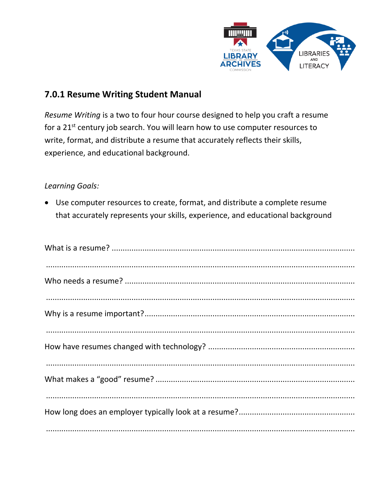

# 7.0.1 Resume Writing Student Manual

Resume Writing is a two to four hour course designed to help you craft a resume for a 21<sup>st</sup> century job search. You will learn how to use computer resources to write, format, and distribute a resume that accurately reflects their skills, experience, and educational background.

# **Learning Goals:**

• Use computer resources to create, format, and distribute a complete resume that accurately represents your skills, experience, and educational background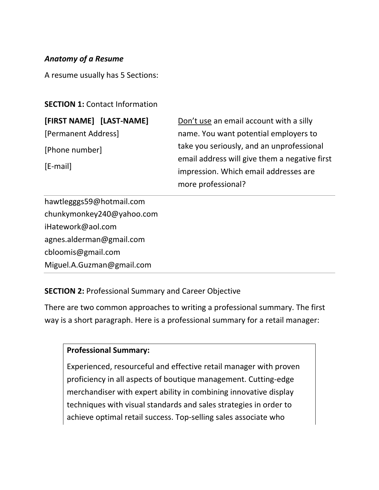# *Anatomy of a Resume*

A resume usually has 5 Sections:

# **SECTION 1:** Contact Information

**[FIRST NAME] [LAST-NAME]** [Permanent Address] [Phone number] [E-mail]

Don't use an email account with a silly name. You want potential employers to take you seriously, and an unprofessional email address will give them a negative first impression. Which email addresses are more professional?

hawtlegggs59@hotmail.com chunkymonkey240@yahoo.com iHatework@aol.com agnes.alderman@gmail.com cbloomis@gmail.com Miguel.A.Guzman@gmail.com

# **SECTION 2:** Professional Summary and Career Objective

There are two common approaches to writing a professional summary. The first way is a short paragraph. Here is a professional summary for a retail manager:

### **Professional Summary:**

Experienced, resourceful and effective retail manager with proven proficiency in all aspects of boutique management. Cutting-edge merchandiser with expert ability in combining innovative display techniques with visual standards and sales strategies in order to achieve optimal retail success. Top-selling sales associate who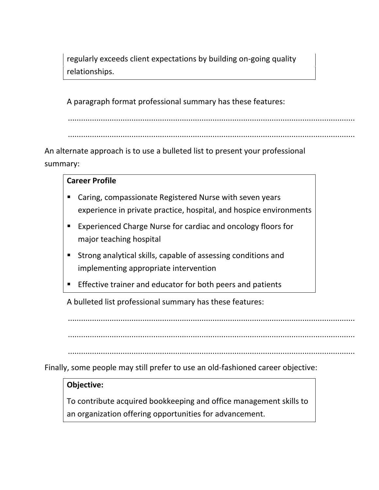regularly exceeds client expectations by building on-going quality relationships.

A paragraph format professional summary has these features:

...................................................................................................................................

...................................................................................................................................

An alternate approach is to use a bulleted list to present your professional summary:

### **Career Profile**

- Caring, compassionate Registered Nurse with seven years experience in private practice, hospital, and hospice environments
- **Experienced Charge Nurse for cardiac and oncology floors for** major teaching hospital
- Strong analytical skills, capable of assessing conditions and implementing appropriate intervention
- **Effective trainer and educator for both peers and patients**

A bulleted list professional summary has these features:

...................................................................................................................................

...................................................................................................................................

...................................................................................................................................

Finally, some people may still prefer to use an old-fashioned career objective:

### **Objective:**

To contribute acquired bookkeeping and office management skills to an organization offering opportunities for advancement.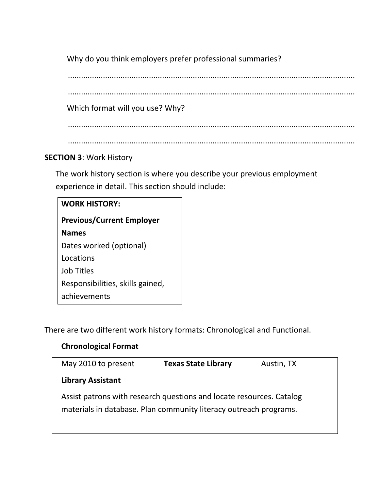Why do you think employers prefer professional summaries?

...................................................................................................................................

...................................................................................................................................

Which format will you use? Why?

...................................................................................................................................

...................................................................................................................................

# **SECTION 3**: Work History

The work history section is where you describe your previous employment experience in detail. This section should include:

| <b>WORK HISTORY:</b>             |  |  |
|----------------------------------|--|--|
| <b>Previous/Current Employer</b> |  |  |
| <b>Names</b>                     |  |  |
| Dates worked (optional)          |  |  |
| Locations                        |  |  |
| Job Titles                       |  |  |
| Responsibilities, skills gained, |  |  |
| achievements                     |  |  |

There are two different work history formats: Chronological and Functional.

# **Chronological Format**

| May 2010 to present                                                                                                                       | <b>Texas State Library</b> | Austin, TX |  |
|-------------------------------------------------------------------------------------------------------------------------------------------|----------------------------|------------|--|
| <b>Library Assistant</b>                                                                                                                  |                            |            |  |
| Assist patrons with research questions and locate resources. Catalog<br>materials in database. Plan community literacy outreach programs. |                            |            |  |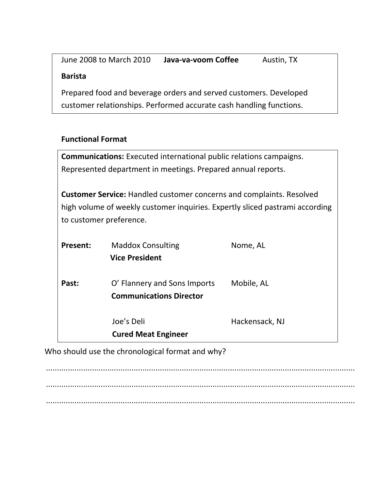| June 2008 to March 2010                                             | Java-va-voom Coffee | Austin, TX |  |
|---------------------------------------------------------------------|---------------------|------------|--|
| <b>Barista</b>                                                      |                     |            |  |
| Prepared food and beverage orders and served customers. Developed   |                     |            |  |
| customer relationships. Performed accurate cash handling functions. |                     |            |  |

# **Functional Format**

| <b>Communications:</b> Executed international public relations campaigns.                                                                                                              |                                                                |                |  |
|----------------------------------------------------------------------------------------------------------------------------------------------------------------------------------------|----------------------------------------------------------------|----------------|--|
| Represented department in meetings. Prepared annual reports.                                                                                                                           |                                                                |                |  |
| <b>Customer Service:</b> Handled customer concerns and complaints. Resolved<br>high volume of weekly customer inquiries. Expertly sliced pastrami according<br>to customer preference. |                                                                |                |  |
| Present:                                                                                                                                                                               | <b>Maddox Consulting</b><br><b>Vice President</b>              | Nome, AL       |  |
| Past:                                                                                                                                                                                  | O' Flannery and Sons Imports<br><b>Communications Director</b> | Mobile, AL     |  |
|                                                                                                                                                                                        | Joe's Deli<br><b>Cured Meat Engineer</b>                       | Hackensack, NJ |  |

Who should use the chronological format and why?

............................................................................................................................................. ............................................................................................................................................. .............................................................................................................................................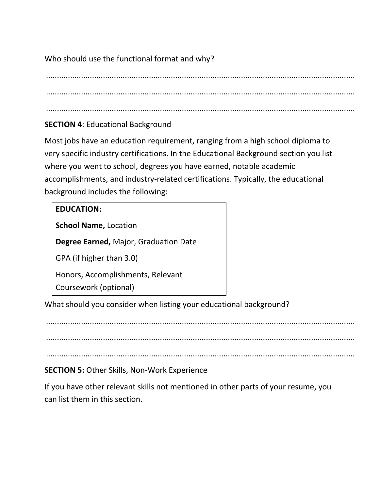Who should use the functional format and why?

............................................................................................................................................. .............................................................................................................................................

# **SECTION 4**: Educational Background

Most jobs have an education requirement, ranging from a high school diploma to very specific industry certifications. In the Educational Background section you list where you went to school, degrees you have earned, notable academic accomplishments, and industry-related certifications. Typically, the educational background includes the following:

# **EDUCATION:**

**School Name,** Location

**Degree Earned,** Major, Graduation Date

GPA (if higher than 3.0)

Honors, Accomplishments, Relevant

Coursework (optional)

What should you consider when listing your educational background?

.............................................................................................................................................

.............................................................................................................................................

.............................................................................................................................................

# **SECTION 5:** Other Skills, Non-Work Experience

If you have other relevant skills not mentioned in other parts of your resume, you can list them in this section.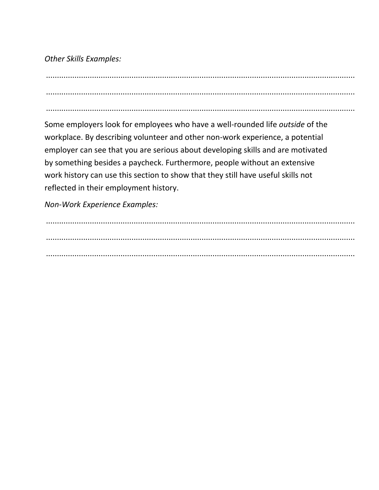*Other Skills Examples:*

............................................................................................................................................. ............................................................................................................................................. .............................................................................................................................................

Some employers look for employees who have a well-rounded life *outside* of the workplace. By describing volunteer and other non-work experience, a potential employer can see that you are serious about developing skills and are motivated by something besides a paycheck. Furthermore, people without an extensive work history can use this section to show that they still have useful skills not reflected in their employment history.

*Non-Work Experience Examples:*

............................................................................................................................................. ............................................................................................................................................. .............................................................................................................................................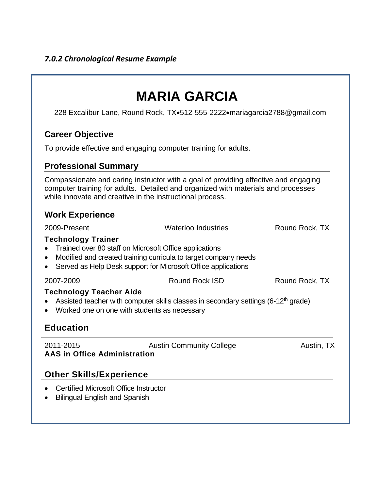# **MARIA GARCIA**

228 Excalibur Lane, Round Rock, TX•512-555-2222•mariagarcia2788@gmail.com

# **Career Objective**

To provide effective and engaging computer training for adults.

# **Professional Summary**

Compassionate and caring instructor with a goal of providing effective and engaging computer training for adults. Detailed and organized with materials and processes while innovate and creative in the instructional process.

# **Work Experience**

2009-Present Waterloo Industries Round Rock, TX **Technology Trainer** • Trained over 80 staff on Microsoft Office applications Modified and created training curricula to target company needs Served as Help Desk support for Microsoft Office applications 2007-2009 Round Rock ISD Round Rock, TX **Technology Teacher Aide** • Assisted teacher with computer skills classes in secondary settings (6-12<sup>th</sup> grade) • Worked one on one with students as necessary **Education** 2011-2015 Austin Community College Austin, TX **AAS in Office Administration Other Skills/Experience** Certified Microsoft Office Instructor • Bilingual English and Spanish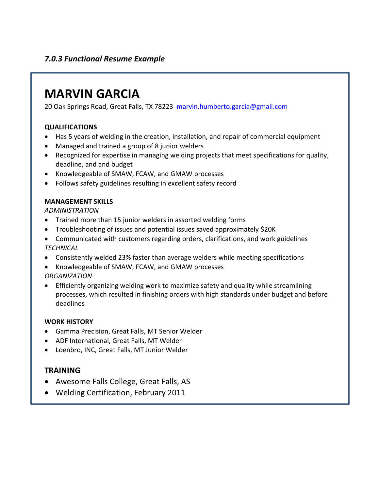# *7.0.3 Functional Resume Example*

# **MARVIN GARCIA**

20 Oak Springs Road, Great Falls, TX 78223 [marvin.humberto.garcia@gmail.com](mailto:marvin.humberto.garcia@gmail.com)

#### **QUALIFICATIONS**

- Has 5 years of welding in the creation, installation, and repair of commercial equipment
- Managed and trained a group of 8 junior welders
- Recognized for expertise in managing welding projects that meet specifications for quality, deadline, and and budget
- Knowledgeable of SMAW, FCAW, and GMAW processes
- Follows safety guidelines resulting in excellent safety record

#### **MANAGEMENT SKILLS**

*ADMINISTRATION* 

- Trained more than 15 junior welders in assorted welding forms
- Troubleshooting of issues and potential issues saved approximately \$20K
- Communicated with customers regarding orders, clarifications, and work guidelines *TECHNICAL*
- Consistently welded 23% faster than average welders while meeting specifications
- Knowledgeable of SMAW, FCAW, and GMAW processes *ORGANIZATION*
- Efficiently organizing welding work to maximize safety and quality while streamlining processes, which resulted in finishing orders with high standards under budget and before deadlines

#### **WORK HISTORY**

- Gamma Precision, Great Falls, MT Senior Welder
- ADF International, Great Falls, MT Welder
- Loenbro, INC, Great Falls, MT Junior Welder

#### **TRAINING**

- Awesome Falls College, Great Falls, AS
- Welding Certification, February 2011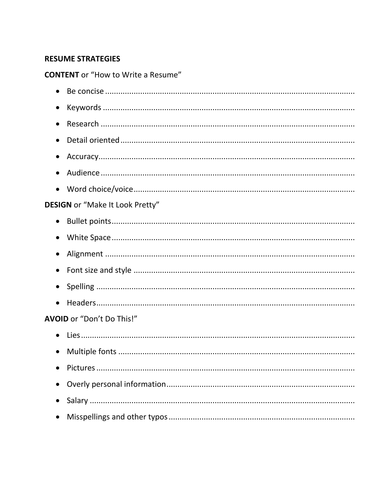# **RESUME STRATEGIES**

**CONTENT** or "How to Write a Resume"

| $\bullet$                              |
|----------------------------------------|
| $\bullet$                              |
| $\bullet$                              |
| $\bullet$                              |
| $\bullet$                              |
| $\bullet$                              |
| <b>DESIGN</b> or "Make It Look Pretty" |
| $\bullet$                              |
| $\bullet$                              |
| $\bullet$                              |
|                                        |
|                                        |
| $\bullet$                              |
| AVOID or "Don't Do This!"              |
|                                        |
|                                        |
|                                        |
| $\bullet$                              |
| $\bullet$                              |
|                                        |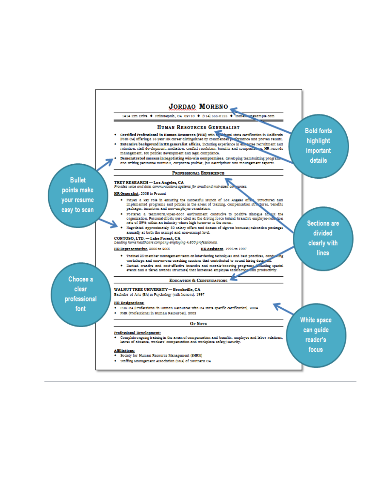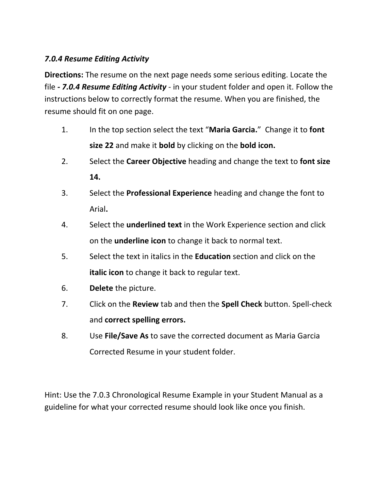# *7.0.4 Resume Editing Activity*

**Directions:** The resume on the next page needs some serious editing. Locate the file *- 7.0.4 Resume Editing Activity* - in your student folder and open it. Follow the instructions below to correctly format the resume. When you are finished, the resume should fit on one page.

- 1. In the top section select the text "**Maria Garcia.**" Change it to **font size 22** and make it **bold** by clicking on the **bold icon.**
- 2. Select the **Career Objective** heading and change the text to **font size 14.**
- 3. Select the **Professional Experience** heading and change the font to Arial**.**
- 4. Select the **underlined text** in the Work Experience section and click on the **underline icon** to change it back to normal text.
- 5. Select the text in italics in the **Education** section and click on the **italic icon** to change it back to regular text.
- 6. **Delete** the picture.
- 7. Click on the **Review** tab and then the **Spell Check** button. Spell-check and **correct spelling errors.**
- 8. Use **File/Save As** to save the corrected document as Maria Garcia Corrected Resume in your student folder.

Hint: Use the 7.0.3 Chronological Resume Example in your Student Manual as a guideline for what your corrected resume should look like once you finish.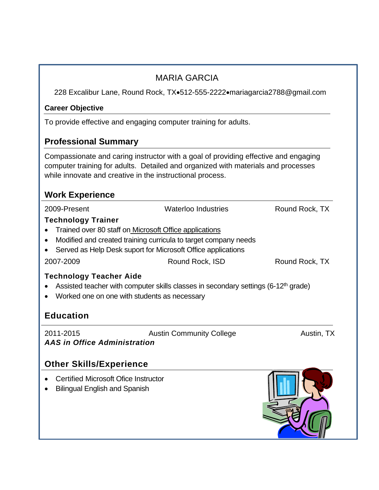|                                                                                                                 | <b>MARIA GARCIA</b>                                                                                                                                                      |                |
|-----------------------------------------------------------------------------------------------------------------|--------------------------------------------------------------------------------------------------------------------------------------------------------------------------|----------------|
|                                                                                                                 | 228 Excalibur Lane, Round Rock, TX•512-555-2222•mariagarcia2788@gmail.com                                                                                                |                |
| <b>Career Objective</b>                                                                                         |                                                                                                                                                                          |                |
|                                                                                                                 | To provide effective and engaging computer training for adults.                                                                                                          |                |
| <b>Professional Summary</b>                                                                                     |                                                                                                                                                                          |                |
| while innovate and creative in the instructional process.                                                       | Compassionate and caring instructor with a goal of providing effective and engaging<br>computer training for adults. Detailed and organized with materials and processes |                |
| <b>Work Experience</b>                                                                                          |                                                                                                                                                                          |                |
| 2009-Present                                                                                                    | <b>Waterloo Industries</b>                                                                                                                                               | Round Rock, TX |
| <b>Technology Trainer</b><br>• Trained over 80 staff on Microsoft Office applications<br>$\bullet$<br>$\bullet$ | Modified and created training curricula to target company needs<br>Served as Help Desk suport for Microsoft Office applications                                          |                |
| 2007-2009                                                                                                       | Round Rock, ISD                                                                                                                                                          | Round Rock, TX |
| Technology Teacher Aide<br>$\bullet$<br>• Worked one on one with students as necessary                          | Assisted teacher with computer skills classes in secondary settings (6-12 <sup>th</sup> grade)                                                                           |                |
| <b>Education</b>                                                                                                |                                                                                                                                                                          |                |
| 2011-2015<br>AAS in Office Administration                                                                       | <b>Austin Community College</b>                                                                                                                                          | Austin, TX     |
| <b>Other Skills/Experience</b>                                                                                  |                                                                                                                                                                          |                |
| <b>Certified Microsoft Ofice Instructor</b><br><b>Bilingual English and Spanish</b>                             |                                                                                                                                                                          |                |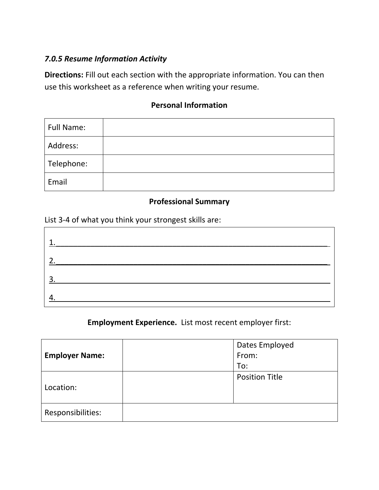# *7.0.5 Resume Information Activity*

**Directions:** Fill out each section with the appropriate information. You can then use this worksheet as a reference when writing your resume.

# **Personal Information**

| <b>Full Name:</b> |  |
|-------------------|--|
| Address:          |  |
| Telephone:        |  |
| Email             |  |

# **Professional Summary**

List 3-4 of what you think your strongest skills are:

| 1              |  |
|----------------|--|
| $\overline{2}$ |  |
| $\overline{3}$ |  |
| Δ              |  |

**Employment Experience.** List most recent employer first:

|                       | Dates Employed        |  |
|-----------------------|-----------------------|--|
| <b>Employer Name:</b> | From:                 |  |
|                       | To:                   |  |
|                       | <b>Position Title</b> |  |
| Location:             |                       |  |
|                       |                       |  |
| Responsibilities:     |                       |  |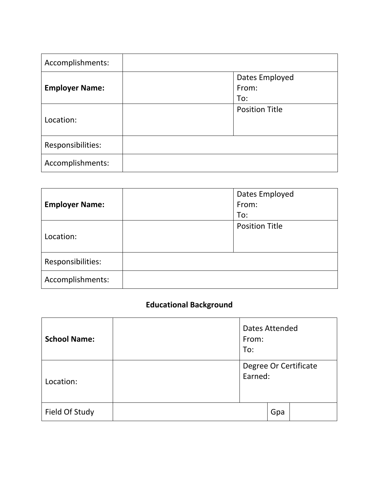| Accomplishments:      |                       |
|-----------------------|-----------------------|
|                       | Dates Employed        |
| <b>Employer Name:</b> | From:                 |
|                       | To:                   |
|                       | <b>Position Title</b> |
| Location:             |                       |
| Responsibilities:     |                       |
| Accomplishments:      |                       |

| <b>Employer Name:</b> | Dates Employed<br>From:      |
|-----------------------|------------------------------|
| Location:             | To:<br><b>Position Title</b> |
| Responsibilities:     |                              |
| Accomplishments:      |                              |

# **Educational Background**

| <b>School Name:</b> | Dates Attended<br>From:<br>To:   |     |  |
|---------------------|----------------------------------|-----|--|
| Location:           | Degree Or Certificate<br>Earned: |     |  |
| Field Of Study      |                                  | Gpa |  |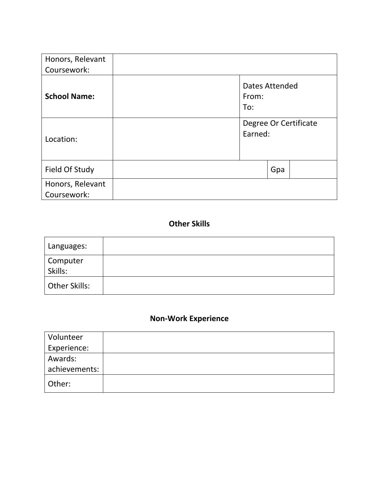| Honors, Relevant<br>Coursework: |     |                                  |  |
|---------------------------------|-----|----------------------------------|--|
| <b>School Name:</b>             | To: | Dates Attended<br>From:          |  |
| Location:                       |     | Degree Or Certificate<br>Earned: |  |
| Field Of Study                  |     | Gpa                              |  |
| Honors, Relevant<br>Coursework: |     |                                  |  |

# **Other Skills**

| Languages:           |  |
|----------------------|--|
| Computer<br>Skills:  |  |
| <b>Other Skills:</b> |  |

# **Non-Work Experience**

| Volunteer     |  |
|---------------|--|
| Experience:   |  |
| Awards:       |  |
| achievements: |  |
| Other:        |  |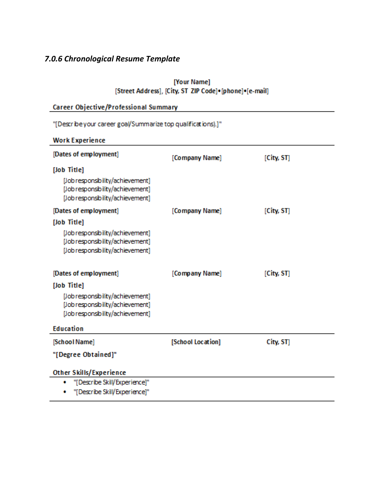# *7.0.6 Chronological Resume Template*

#### [Your Name] [Street Address], [City, ST ZIP Code] • [phone] • [e-mail]

| Career Objective/Professional Summary                                                                    |                   |            |  |  |
|----------------------------------------------------------------------------------------------------------|-------------------|------------|--|--|
| "[Describe your career goal/Summarize top qualifications).]"                                             |                   |            |  |  |
| <b>Work Experience</b>                                                                                   |                   |            |  |  |
| [Dates of employment]                                                                                    | [Company Name]    | [City, ST] |  |  |
| [Job Title]                                                                                              |                   |            |  |  |
| [Job responsibility/achievement]<br>[Job responsibility/achievement]<br>[Job responsibility/achievement] |                   |            |  |  |
| [Dates of employment]                                                                                    | [Company Name]    | [City, ST] |  |  |
| [Job Title]                                                                                              |                   |            |  |  |
| [Job responsibility/achievement]<br>[Job responsibility/achievement]<br>[Job responsibility/achievement] |                   |            |  |  |
| [Dates of employment]                                                                                    | [Company Name]    | [City, ST] |  |  |
| [Job Title]                                                                                              |                   |            |  |  |
| [Job responsibility/achievement]<br>[Job responsibility/achievement]<br>[Job responsibility/achievement] |                   |            |  |  |
| <b>Education</b>                                                                                         |                   |            |  |  |
| [School Name]                                                                                            | [School Location] | City, ST]  |  |  |
| "[Degree Obtained]"                                                                                      |                   |            |  |  |
| <b>Other Skills/Experience</b>                                                                           |                   |            |  |  |
| "[Describe Skill/Experience]"<br>۰                                                                       |                   |            |  |  |
| "[Describe Skill/Experience]"                                                                            |                   |            |  |  |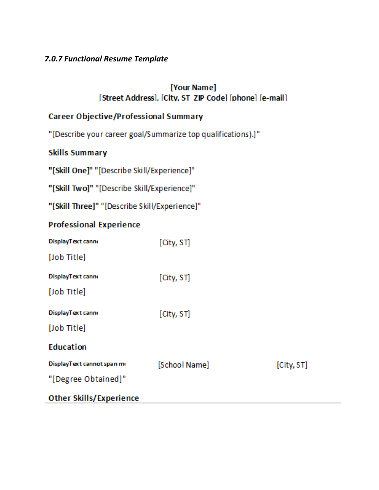# 7.0.7 Functional Resume Template

# [Your Name] [Street Address], [City, ST ZIP Code] [phone] [e-mail]

# **Career Objective/Professional Summary**

"[Describe your career goal/Summarize top qualifications).]"

**Skills Summary** 

"[Skill One]" "[Describe Skill/Experience]"

"[Skill Two]" "[Describe Skill/Experience]"

"[Skill Three]" "[Describe Skill/Experience]"

# **Professional Experience**

| DisplayText canno              | [City, ST]    |            |
|--------------------------------|---------------|------------|
| [Job Title]                    |               |            |
| DisplayText canno              | [City, ST]    |            |
| [Job Title]                    |               |            |
| DisplayText canno              | [City, ST]    |            |
| [Job Title]                    |               |            |
| <b>Education</b>               |               |            |
| DisplayText cannot span me     | [School Name] | [City, ST] |
| "[Degree Obtained]"            |               |            |
| <b>Other Skills/Experience</b> |               |            |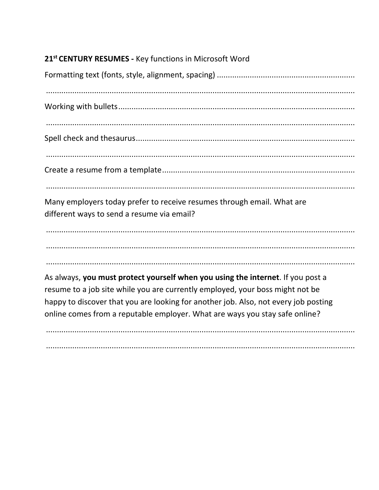# 21st CENTURY RESUMES - Key functions in Microsoft Word Many employers today prefer to receive resumes through email. What are different ways to send a resume via email? As always, you must protect yourself when you using the internet. If you post a resume to a job site while you are currently employed, your boss might not be happy to discover that you are looking for another job. Also, not every job posting online comes from a reputable employer. What are ways you stay safe online?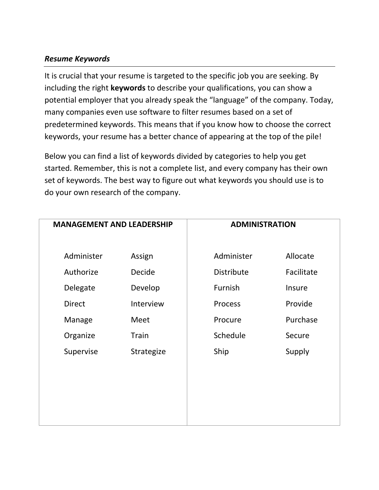# *Resume Keywords*

It is crucial that your resume is targeted to the specific job you are seeking. By including the right **keywords** to describe your qualifications, you can show a potential employer that you already speak the "language" of the company. Today, many companies even use software to filter resumes based on a set of predetermined keywords. This means that if you know how to choose the correct keywords, your resume has a better chance of appearing at the top of the pile!

Below you can find a list of keywords divided by categories to help you get started. Remember, this is not a complete list, and every company has their own set of keywords. The best way to figure out what keywords you should use is to do your own research of the company.

| <b>MANAGEMENT AND LEADERSHIP</b> |               | <b>ADMINISTRATION</b> |            |  |
|----------------------------------|---------------|-----------------------|------------|--|
| Administer                       | Assign        | Administer            | Allocate   |  |
| Authorize                        | <b>Decide</b> | <b>Distribute</b>     | Facilitate |  |
| Delegate                         | Develop       | Furnish               | Insure     |  |
| <b>Direct</b>                    | Interview     | Process               | Provide    |  |
| Manage                           | Meet          | Procure               | Purchase   |  |
| Organize                         | Train         | Schedule              | Secure     |  |
| Supervise                        | Strategize    | Ship                  | Supply     |  |
|                                  |               |                       |            |  |
|                                  |               |                       |            |  |
|                                  |               |                       |            |  |
|                                  |               |                       |            |  |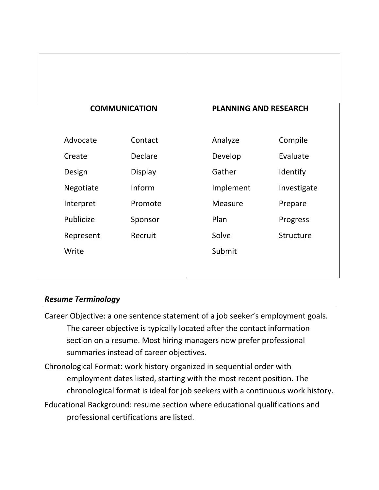|           |                      | <b>PLANNING AND RESEARCH</b> |             |
|-----------|----------------------|------------------------------|-------------|
|           | <b>COMMUNICATION</b> |                              |             |
| Advocate  | Contact              | Analyze                      | Compile     |
| Create    | Declare              | Develop                      | Evaluate    |
| Design    | Display              | Gather                       | Identify    |
| Negotiate | Inform               | Implement                    | Investigate |
| Interpret | Promote              | Measure                      | Prepare     |
| Publicize | Sponsor              | Plan                         | Progress    |
| Represent | Recruit              | Solve                        | Structure   |
| Write     |                      | Submit                       |             |
|           |                      |                              |             |

### *Resume Terminology*

- Career Objective: a one sentence statement of a job seeker's employment goals. The career objective is typically located after the contact information section on a resume. Most hiring managers now prefer professional summaries instead of career objectives.
- Chronological Format: work history organized in sequential order with employment dates listed, starting with the most recent position. The chronological format is ideal for job seekers with a continuous work history. Educational Background: resume section where educational qualifications and professional certifications are listed.